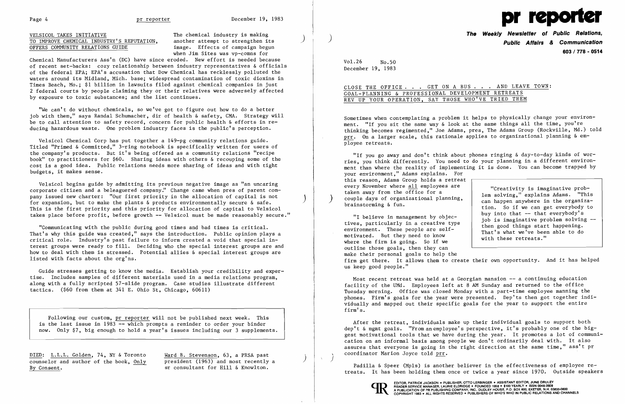## VELSICOL TAKES INITIATIVE<br>TO IMPROVE CHEMICAL INDUSTRY'S REPUTATION, another attempt to strengthen its TO IMPROVE CHEMICAL INDUSTRY'S REPUTATION, another attempt to strengthen its (OFFERS COMMUNITY RELATIONS GUIDE image. Effects of campaign begun OFFERS COMMUNITY RELATIONS GUIDE



when Jim Sites was vp-comns for

Chemical Manufacturers Ass'n (DC) have since eroded. New effort is needed because of recent set-backs: cozy relationship between industry representatives & officials of the federal EPA; EPA's accusation that Dow Chemical has recklessly polluted the waters around its Midland, Mich. base; widespread contamination of toxic dioxins in Times Beach, Mo.; \$1 billion in lawsuits filed against chemical companies in just 2 federal courts by people claiming they or their relatives were adversely affected by exposure to toxic substances; and the list continues.

"We can't do without chemicals, so we've got to figure out how to do a better job with them," says Randal Schumacher, dir of health & safety, CMA. Strategy will be to call attention to safety record, concern for public health & efforts in reducing hazardous waste. One problem industry faces is the public's perception.

Velsicol Chemical Corp has put together a 149-pg community relations guide. Titled "Primed & Committed," 3-ring notebook is specifically written for users of the company's products. But it's being offered as a community relations "recipe book" to practitioners for \$60. Sharing ideas with others & recouping some of the cost is a good idea. Public relations needs more sharing of ideas and with tight budgets, it makes sense.

Velsicol begins guide by admitting its previous negative image as "an uncaring corporate citizen and a beleaguered company." Change came when pres of parent company issued new charter: "Our first priority in the allocation of capital is not for expansion, but to make the plants & products environmentally secure & safe. This is the first priority and this priority for allocation of capital to Velsicol takes place before profit, before growth -- Velsicol must be made reasonably secure."

"If you go away and don't think about phones ringing & day-to-day kinds of worries, you think differently. You need to do your planning in a different environment than where the reality of implementing it is done. You can become trapped by your environment," Adams explains. For this reason, Adams Group holds a retreat<br>every November where all employees are every November where all employees are<br>taken away from the office for a<br>couple days of organizational planning,<br>brainstorming & fun.<br>tion. So if we can get everybody to

"Communicating with the public during good times and bad times is critical. That's why this guide was created," says the introduction. Public opinion plays a critical role. Industry's past failure to inform created a void that special interest groups were ready to fill. Deciding who the special interest groups are and how to deal with them is stressed. Potential allies & special interest groups are listed with facts about the org'ns.

"I believe in management by objec-<br>tives, particularly in a creative type<br>environment. These people are self-<br>motivated. But they need to know<br>where the firm is going. So if we<br>all these retreats." outline those goals, then they can make their personal goals to help the firm get there. It allows them to create their own opportunity. And it has helped us keep good people."

Guide stresses getting to know the media. Establish your credibility and expertise. Includes samples of different materials used in a media relations program, along with a fully scripted 57-slide program. Case studies illustrate different tactics. (\$60 from them at 341 E. Ohio St, Chicago, 60611)

Most recent retreat was held at a Georgian mansion -- a continuing education facility of the UMd. Employees left at 8 AM Sunday and returned to the office Tuesday morning. Office was closed Monday with a part-time employee manning the phones. Firm's goals for the year were presented. Dep'ts then got together individually and mapped out their specific goals for the year to support the entire firm's.

Following our custom, pr reporter will not be published next week. This is the last issue in 1983 -- which prompts a reminder to order your binder now. Only \$7, big enough to hold a year's issues including our 3 supplements.

DIED: L.L.L. Golden, 74, NY & Toronto Ward B. Stevenson, 63, a PRSA past counselor and author of the book, Only president (1963) and most recently a By Consent.  $\overline{\phantom{1}}$  sr consultant for Hill & Knowlton.

**The Weekly Newsletter of Public Relations,** ) **Public Affairs & Communication 603/718 - 0514** 

CLOSE THE OFFICE. . . GET ON A BUS. . . AND LEAVE TOWN:

Vol.26 No.50 December 19, 1983

# GOAL-PLANNING & PROFESSIONAL DEVELOPMENT RETREATS REV UP YOUR OPERATION, SAY THOSE WHO'VE TRIED THEM

Sometimes when contemplating a problem it helps to physically change your environment. "If you sit the same way & look at the same things all the time, you're thinking becomes regimented," Joe Adams, pres, The Adams Group (Rockville, Md.) told prr. On a larger scale, this rationale applies to organizational planning & employee retreats.

After the retreat, individuals make up their individual goals to support both dep't & mgmt goals. "From an employee's perspective, it's probably one of the biggest motivational tools that we have during the year. It promotes a lot of communication on an informal basis among people we don't ordinarily deal with. It also assures that everyone is going in the right direction at the same time," ass't pr \ coordinator Marion Joyce told prr.

)

Padilla & Speer (Mpls) is another believer in the effectiveness of employee retreats. It has been holding them once or twice a year since 1970. Outside speakers